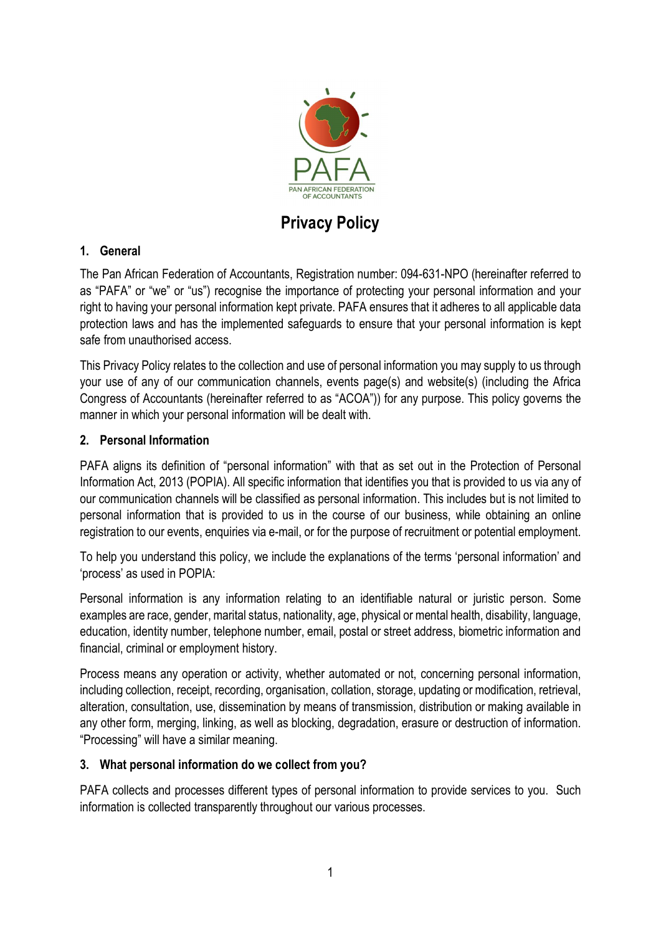

Privacy Policy

# 1. General

The Pan African Federation of Accountants, Registration number: 094-631-NPO (hereinafter referred to as "PAFA" or "we" or "us") recognise the importance of protecting your personal information and your right to having your personal information kept private. PAFA ensures that it adheres to all applicable data protection laws and has the implemented safeguards to ensure that your personal information is kept safe from unauthorised access.

This Privacy Policy relates to the collection and use of personal information you may supply to us through your use of any of our communication channels, events page(s) and website(s) (including the Africa Congress of Accountants (hereinafter referred to as "ACOA")) for any purpose. This policy governs the manner in which your personal information will be dealt with.

### 2. Personal Information

PAFA aligns its definition of "personal information" with that as set out in the Protection of Personal Information Act, 2013 (POPIA). All specific information that identifies you that is provided to us via any of our communication channels will be classified as personal information. This includes but is not limited to personal information that is provided to us in the course of our business, while obtaining an online registration to our events, enquiries via e-mail, or for the purpose of recruitment or potential employment.

To help you understand this policy, we include the explanations of the terms 'personal information' and 'process' as used in POPIA:

Personal information is any information relating to an identifiable natural or juristic person. Some examples are race, gender, marital status, nationality, age, physical or mental health, disability, language, education, identity number, telephone number, email, postal or street address, biometric information and financial, criminal or employment history.

Process means any operation or activity, whether automated or not, concerning personal information, including collection, receipt, recording, organisation, collation, storage, updating or modification, retrieval, alteration, consultation, use, dissemination by means of transmission, distribution or making available in any other form, merging, linking, as well as blocking, degradation, erasure or destruction of information. "Processing" will have a similar meaning.

#### 3. What personal information do we collect from you?

PAFA collects and processes different types of personal information to provide services to you. Such information is collected transparently throughout our various processes.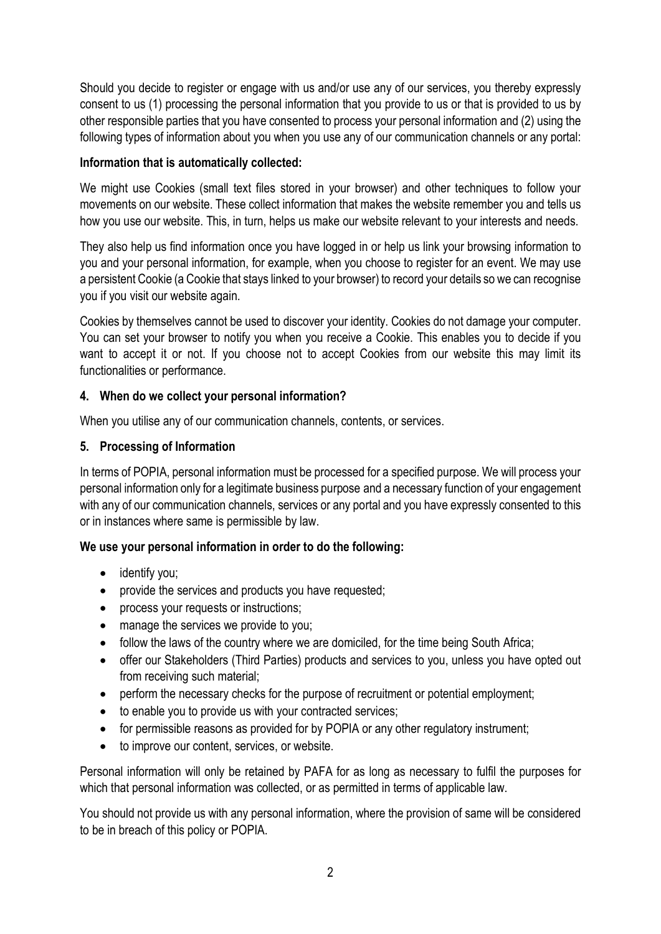Should you decide to register or engage with us and/or use any of our services, you thereby expressly consent to us (1) processing the personal information that you provide to us or that is provided to us by other responsible parties that you have consented to process your personal information and (2) using the following types of information about you when you use any of our communication channels or any portal:

### Information that is automatically collected:

We might use Cookies (small text files stored in your browser) and other techniques to follow your movements on our website. These collect information that makes the website remember you and tells us how you use our website. This, in turn, helps us make our website relevant to your interests and needs.

They also help us find information once you have logged in or help us link your browsing information to you and your personal information, for example, when you choose to register for an event. We may use a persistent Cookie (a Cookie that stays linked to your browser) to record your details so we can recognise you if you visit our website again.

Cookies by themselves cannot be used to discover your identity. Cookies do not damage your computer. You can set your browser to notify you when you receive a Cookie. This enables you to decide if you want to accept it or not. If you choose not to accept Cookies from our website this may limit its functionalities or performance.

# 4. When do we collect your personal information?

When you utilise any of our communication channels, contents, or services.

### 5. Processing of Information

In terms of POPIA, personal information must be processed for a specified purpose. We will process your personal information only for a legitimate business purpose and a necessary function of your engagement with any of our communication channels, services or any portal and you have expressly consented to this or in instances where same is permissible by law.

#### We use your personal information in order to do the following:

- identify you;
- provide the services and products you have requested:
- process your requests or instructions;
- manage the services we provide to you:
- follow the laws of the country where we are domiciled, for the time being South Africa;
- offer our Stakeholders (Third Parties) products and services to you, unless you have opted out from receiving such material;
- perform the necessary checks for the purpose of recruitment or potential employment;
- to enable you to provide us with your contracted services;
- for permissible reasons as provided for by POPIA or any other regulatory instrument;
- to improve our content, services, or website.

Personal information will only be retained by PAFA for as long as necessary to fulfil the purposes for which that personal information was collected, or as permitted in terms of applicable law.

You should not provide us with any personal information, where the provision of same will be considered to be in breach of this policy or POPIA.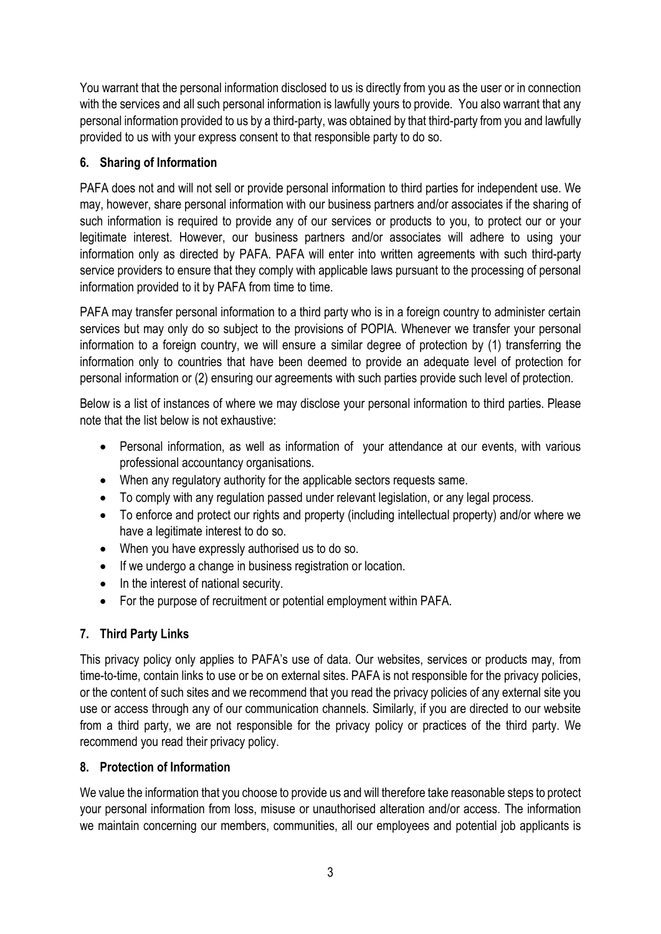You warrant that the personal information disclosed to us is directly from you as the user or in connection with the services and all such personal information is lawfully yours to provide. You also warrant that any personal information provided to us by a third-party, was obtained by that third-party from you and lawfully provided to us with your express consent to that responsible party to do so.

# 6. Sharing of Information

PAFA does not and will not sell or provide personal information to third parties for independent use. We may, however, share personal information with our business partners and/or associates if the sharing of such information is required to provide any of our services or products to you, to protect our or your legitimate interest. However, our business partners and/or associates will adhere to using your information only as directed by PAFA. PAFA will enter into written agreements with such third-party service providers to ensure that they comply with applicable laws pursuant to the processing of personal information provided to it by PAFA from time to time.

PAFA may transfer personal information to a third party who is in a foreign country to administer certain services but may only do so subject to the provisions of POPIA. Whenever we transfer your personal information to a foreign country, we will ensure a similar degree of protection by (1) transferring the information only to countries that have been deemed to provide an adequate level of protection for personal information or (2) ensuring our agreements with such parties provide such level of protection.

Below is a list of instances of where we may disclose your personal information to third parties. Please note that the list below is not exhaustive:

- Personal information, as well as information of your attendance at our events, with various professional accountancy organisations.
- When any regulatory authority for the applicable sectors requests same.
- To comply with any regulation passed under relevant legislation, or any legal process.
- To enforce and protect our rights and property (including intellectual property) and/or where we have a legitimate interest to do so.
- When you have expressly authorised us to do so.
- If we undergo a change in business registration or location.
- In the interest of national security.
- For the purpose of recruitment or potential employment within PAFA.

# 7. Third Party Links

This privacy policy only applies to PAFA's use of data. Our websites, services or products may, from time-to-time, contain links to use or be on external sites. PAFA is not responsible for the privacy policies, or the content of such sites and we recommend that you read the privacy policies of any external site you use or access through any of our communication channels. Similarly, if you are directed to our website from a third party, we are not responsible for the privacy policy or practices of the third party. We recommend you read their privacy policy.

# 8. Protection of Information

We value the information that you choose to provide us and will therefore take reasonable steps to protect your personal information from loss, misuse or unauthorised alteration and/or access. The information we maintain concerning our members, communities, all our employees and potential job applicants is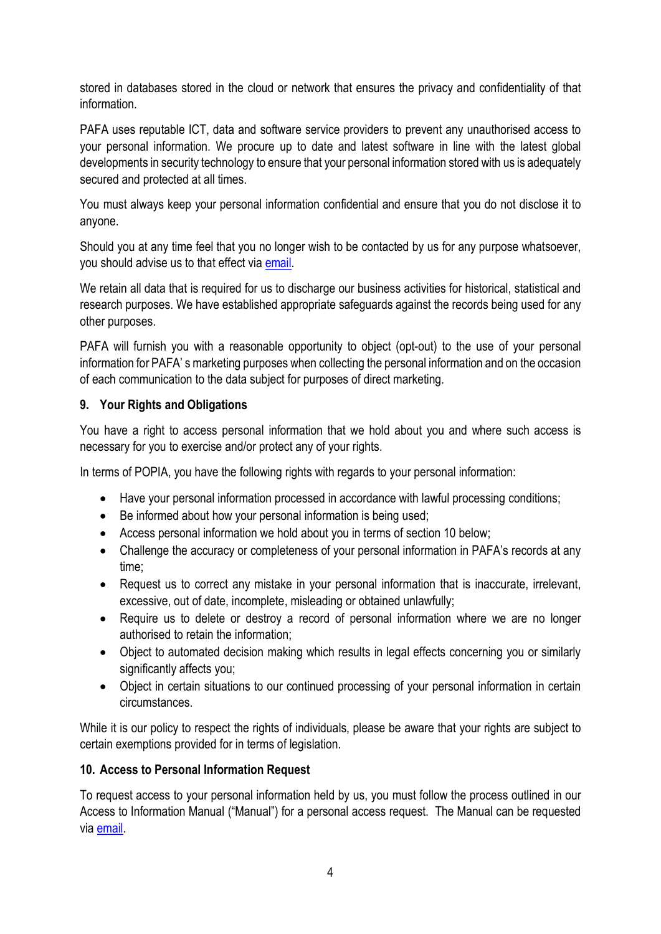stored in databases stored in the cloud or network that ensures the privacy and confidentiality of that information.

PAFA uses reputable ICT, data and software service providers to prevent any unauthorised access to your personal information. We procure up to date and latest software in line with the latest global developments in security technology to ensure that your personal information stored with us is adequately secured and protected at all times.

You must always keep your personal information confidential and ensure that you do not disclose it to anyone.

Should you at any time feel that you no longer wish to be contacted by us for any purpose whatsoever, you should advise us to that effect via email.

We retain all data that is required for us to discharge our business activities for historical, statistical and research purposes. We have established appropriate safeguards against the records being used for any other purposes.

PAFA will furnish you with a reasonable opportunity to object (opt-out) to the use of your personal information for PAFA' s marketing purposes when collecting the personal information and on the occasion of each communication to the data subject for purposes of direct marketing.

### 9. Your Rights and Obligations

You have a right to access personal information that we hold about you and where such access is necessary for you to exercise and/or protect any of your rights.

In terms of POPIA, you have the following rights with regards to your personal information:

- Have your personal information processed in accordance with lawful processing conditions;
- Be informed about how your personal information is being used;
- Access personal information we hold about you in terms of section 10 below;
- Challenge the accuracy or completeness of your personal information in PAFA's records at any time;
- Request us to correct any mistake in your personal information that is inaccurate, irrelevant, excessive, out of date, incomplete, misleading or obtained unlawfully;
- Require us to delete or destroy a record of personal information where we are no longer authorised to retain the information;
- Object to automated decision making which results in legal effects concerning you or similarly significantly affects you;
- Object in certain situations to our continued processing of your personal information in certain circumstances.

While it is our policy to respect the rights of individuals, please be aware that your rights are subject to certain exemptions provided for in terms of legislation.

# 10. Access to Personal Information Request

To request access to your personal information held by us, you must follow the process outlined in our Access to Information Manual ("Manual") for a personal access request. The Manual can be requested via email.